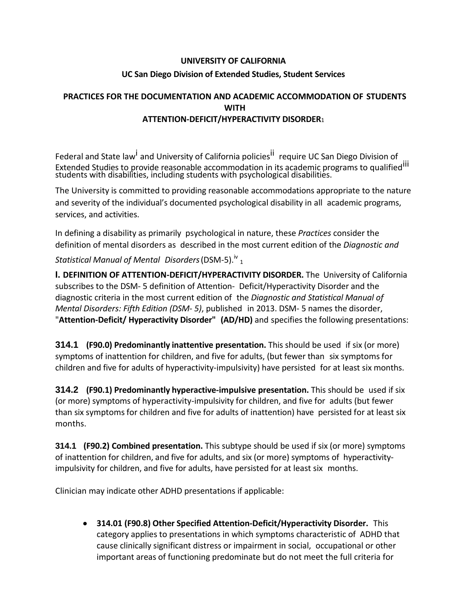## **UNIVERSITY OF CALIFORNIA UC San Diego Division of Extended Studies, Student Services**

## **PRACTICES FOR THE DOCUMENTATION AND ACADEMIC ACCOMMODATION OF STUDENTS WITH ATTENTION-DEFICIT/HYPERACTIVITY DISORDER**<sup>1</sup>

Federal and State l[aw](#page-3-0)<sup>i</sup> and University of California policies<sup>[ii](#page-3-1)</sup> require UC San Diego Division of Extended Studies to provide reasonable accommodation in its academic programs to qualified[iii](#page-3-2) students with disabilities, including students with psychological disabilities.

The University is committed to providing reasonable accommodations appropriate to the nature and severity of the individual's documented psychological disability in all academic programs, services, and activities.

In defining a disability as primarily psychological in nature, these *Practices* consider the definition of mental disorders as described in the most current edition of the *Diagnostic and* 

*Statistical Manual of Mental Disorders*(DSM-5).iv 1

**I. DEFINITION OF ATTENTION-DEFICIT/HYPERACTIVITY DISORDER.** The University of California subscribes to the DSM- 5 definition of Attention- Deficit/Hyperactivity Disorder and the diagnostic criteria in the most current edition of the *Diagnostic and Statistical Manual of Mental Disorders: Fifth Edition (DSM- 5)*, published in 2013. DSM- 5 names the disorder, "**Attention-Deficit/ Hyperactivity Disorder" (AD/HD)** and specifies the following presentations:

**314.1 (F90.0) Predominantly inattentive presentation.** This should be used if six (or more) symptoms of inattention for children, and five for adults, (but fewer than six symptoms for children and five for adults of hyperactivity-impulsivity) have persisted for at least six months.

**314.2 (F90.1) Predominantly hyperactive-impulsive presentation.** This should be used if six (or more) symptoms of hyperactivity-impulsivity for children, and five for adults (but fewer than six symptoms for children and five for adults of inattention) have persisted for at least six months.

**314.1 (F90.2) Combined presentation.** This subtype should be used if six (or more) symptoms of inattention for children, and five for adults, and six (or more) symptoms of hyperactivityimpulsivity for children, and five for adults, have persisted for at least six months.

Clinician may indicate other ADHD presentations if applicable:

• **314.01 (F90.8) Other Specified Attention-Deficit/Hyperactivity Disorder.** This category applies to presentations in which symptoms characteristic of ADHD that cause clinically significant distress or impairment in social, occupational or other important areas of functioning predominate but do not meet the full criteria for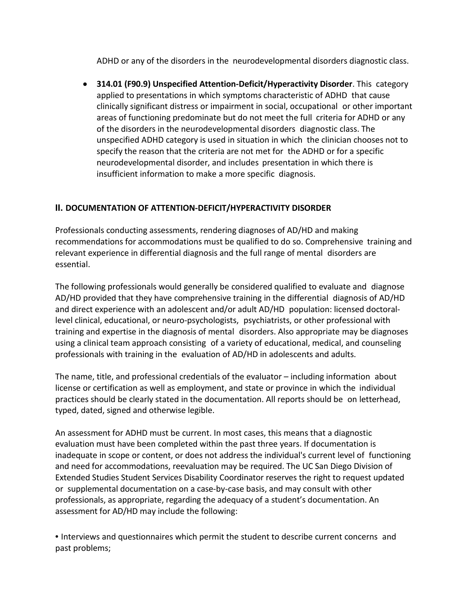ADHD or any of the disorders in the neurodevelopmental disorders diagnostic class.

• **314.01 (F90.9) Unspecified Attention-Deficit/Hyperactivity Disorder**. This category applied to presentations in which symptoms characteristic of ADHD that cause clinically significant distress or impairment in social, occupational or other important areas of functioning predominate but do not meet the full criteria for ADHD or any of the disorders in the neurodevelopmental disorders diagnostic class. The unspecified ADHD category is used in situation in which the clinician chooses not to specify the reason that the criteria are not met for the ADHD or for a specific neurodevelopmental disorder, and includes presentation in which there is insufficient information to make a more specific diagnosis.

## **II. DOCUMENTATION OF ATTENTION-DEFICIT/HYPERACTIVITY DISORDER**

Professionals conducting assessments, rendering diagnoses of AD/HD and making recommendations for accommodations must be qualified to do so. Comprehensive training and relevant experience in differential diagnosis and the full range of mental disorders are essential.

The following professionals would generally be considered qualified to evaluate and diagnose AD/HD provided that they have comprehensive training in the differential diagnosis of AD/HD and direct experience with an adolescent and/or adult AD/HD population: licensed doctorallevel clinical, educational, or neuro-psychologists, psychiatrists, or other professional with training and expertise in the diagnosis of mental disorders. Also appropriate may be diagnoses using a clinical team approach consisting of a variety of educational, medical, and counseling professionals with training in the evaluation of AD/HD in adolescents and adults.

The name, title, and professional credentials of the evaluator – including information about license or certification as well as employment, and state or province in which the individual practices should be clearly stated in the documentation. All reports should be on letterhead, typed, dated, signed and otherwise legible.

An assessment for ADHD must be current. In most cases, this means that a diagnostic evaluation must have been completed within the past three years. If documentation is inadequate in scope or content, or does not address the individual's current level of functioning and need for accommodations, reevaluation may be required. The UC San Diego Division of Extended Studies Student Services Disability Coordinator reserves the right to request updated or supplemental documentation on a case-by-case basis, and may consult with other professionals, as appropriate, regarding the adequacy of a student's documentation. An assessment for AD/HD may include the following:

• Interviews and questionnaires which permit the student to describe current concerns and past problems;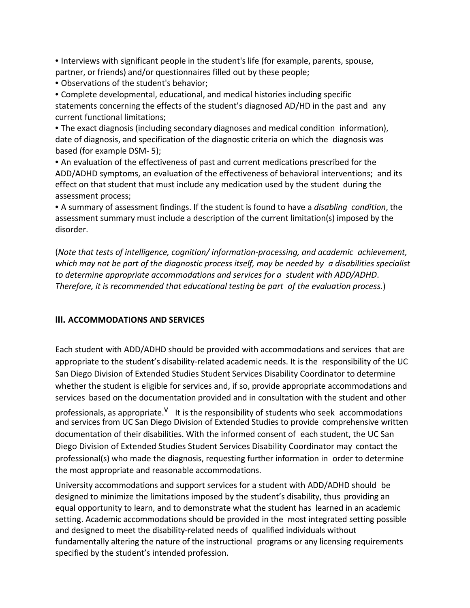• Interviews with significant people in the student's life (for example, parents, spouse, partner, or friends) and/or questionnaires filled out by these people;

• Observations of the student's behavior;

• Complete developmental, educational, and medical histories including specific statements concerning the effects of the student's diagnosed AD/HD in the past and any current functional limitations;

• The exact diagnosis (including secondary diagnoses and medical condition information), date of diagnosis, and specification of the diagnostic criteria on which the diagnosis was based (for example DSM- 5);

• An evaluation of the effectiveness of past and current medications prescribed for the ADD/ADHD symptoms, an evaluation of the effectiveness of behavioral interventions; and its effect on that student that must include any medication used by the student during the assessment process;

• A summary of assessment findings. If the student is found to have a *disabling condition*, the assessment summary must include a description of the current limitation(s) imposed by the disorder.

(*Note that tests of intelligence, cognition/ information-processing, and academic achievement, which may not be part of the diagnostic process itself, may be needed by a disabilities specialist to determine appropriate accommodations and services for a student with ADD/ADHD*. *Therefore, it is recommended that educational testing be part of the evaluation process.*)

## **III. ACCOMMODATIONS AND SERVICES**

Each student with ADD/ADHD should be provided with accommodations and services that are appropriate to the student's disability-related academic needs. It is the responsibility of the UC San Diego Division of Extended Studies Student Services Disability Coordinator to determine whether the student is eligible for services and, if so, provide appropriate accommodations and services based on the documentation provided and in consultation with the student and other

professionals, as appropriate.<sup>V</sup> It is the responsibility of students who seek accommodations and services from UC San Diego Division of Extended Studies to provide comprehensive written documentation of their disabilities. With the informed consent of each student, the UC San Diego Division of Extended Studies Student Services Disability Coordinator may contact the professional(s) who made the diagnosis, requesting further information in order to determine the most appropriate and reasonable accommodations.

University accommodations and support services for a student with ADD/ADHD should be designed to minimize the limitations imposed by the student's disability, thus providing an equal opportunity to learn, and to demonstrate what the student has learned in an academic setting. Academic accommodations should be provided in the most integrated setting possible and designed to meet the disability-related needs of qualified individuals without fundamentally altering the nature of the instructional programs or any licensing requirements specified by the student's intended profession.